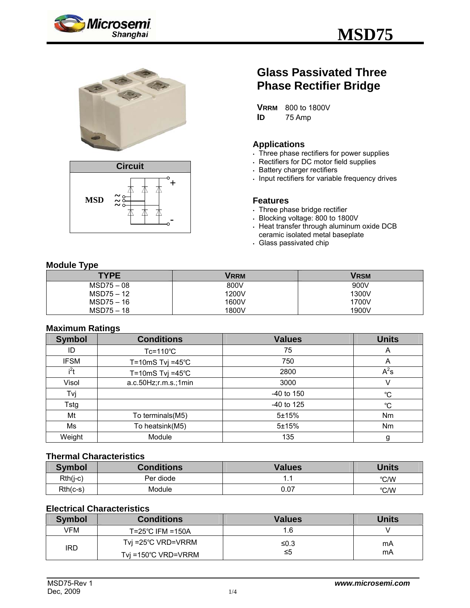





# **Glass Passivated Three Phase Rectifier Bridge**

**VRRM** 800 to 1800V **ID** 75 Amp

#### **Applications**

- . Three phase rectifiers for power supplies
- Rectifiers for DC motor field supplies
- **Battery charger rectifiers**
- Input rectifiers for variable frequency drives

#### **Features**

- . Three phase bridge rectifier
- <sup>y</sup> Blocking voltage: 800 to 1800V
- $\cdot$  Heat transfer through aluminum oxide DCB ceramic isolated metal baseplate
- . Glass passivated chip

# **Module Type**

| - -<br><b>TYPE</b> | Vrrm  | Vrsm  |
|--------------------|-------|-------|
| $MSD75-08$         | 800V  | 900V  |
| $MSD75 - 12$       | 1200V | 1300V |
| $MSD75-16$         | 1600V | 1700V |
| $MSD75-18$         | 1800V | 1900V |

# **Maximum Ratings**

| <b>Symbol</b> | -<br><b>Conditions</b>      | <b>Values</b> | <b>Units</b> |
|---------------|-----------------------------|---------------|--------------|
| ID            | $Tc = 110^{\circ}C$         | 75            | A            |
| <b>IFSM</b>   | T=10mS Tvj =45 $^{\circ}$ C | 750           | A            |
| $i^2t$        | T=10mS Tvj =45 $^{\circ}$ C | 2800          | $A^2s$       |
| Visol         | a.c.50Hz;r.m.s.;1min        | 3000          | V            |
| Tvj           |                             | $-40$ to 150  | $^{\circ}C$  |
| Tstg          |                             | $-40$ to 125  | $^{\circ}C$  |
| Mt            | To terminals(M5)            | 5±15%         | Nm           |
| Ms            | To heatsink(M5)             | $5 + 15%$     | <b>Nm</b>    |
| Weight        | Module                      | 135           | g            |

#### **Thermal Characteristics**

| <b>Symbol</b> | <b>Conditions</b> | Values | <b>Units</b> |
|---------------|-------------------|--------|--------------|
| Rth(j-c)      | Per diode         | . .    | °C/W         |
| $Rth(c-s)$    | Module            | 0.07   | °C/W         |

# **Electrical Characteristics**

| <b>Symbol</b> | <b>Conditions</b>              | <b>Values</b> | Units |
|---------------|--------------------------------|---------------|-------|
| VFM           | $T = 25^{\circ}$ C IFM = 150A  | .6            |       |
| <b>IRD</b>    | Tvi =25°C VRD=VRRM             | ≤0.3          | mA    |
|               | Tvi =150 $^{\circ}$ C VRD=VRRM | ≤5            | mA    |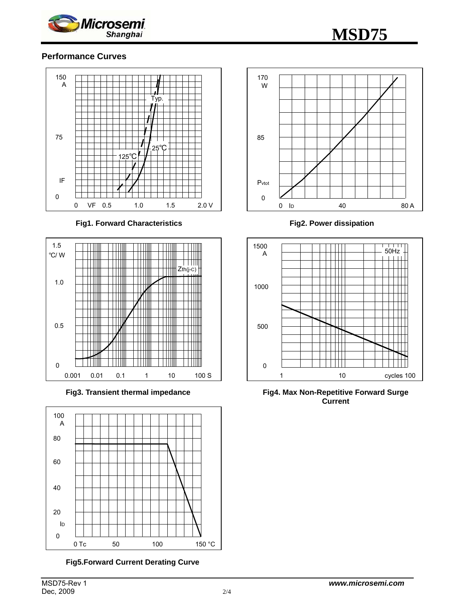

# **Performance Curves**



**Fig1. Forward Characteristics** 



**Fig3. Transient thermal impedance** 



**Fig5.Forward Current Derating Curve** 



**Fig2. Power dissipation** 



**Fig4. Max Non-Repetitive Forward Surge Current**